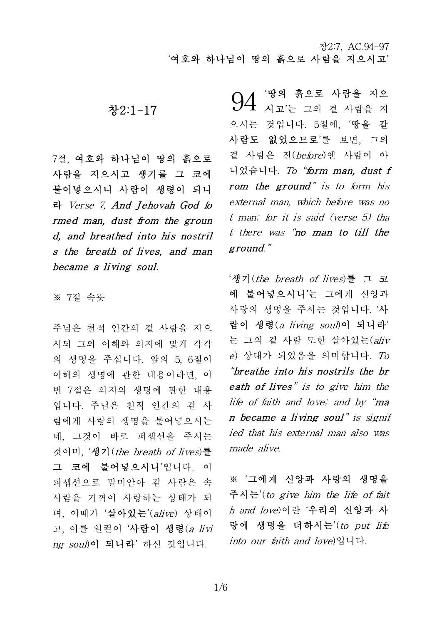# 창2:1-17

7절, 여호와 하나님이 땅의 흙으로 사람을 지으시고 생기를 그 코에 불어넣으시니 사람이 생령이 되니 라 Verse 7, And Jehovah God fo rmed man, dust from the groun d, and breathed into his nostril s the breath of lives, and man became a living soul.

※ 7절 속뜻

주님은 천적 인간의 겉 사람을 지으 시되 그의 이해와 의지에 맞게 각각 의 생명을 주십니다. 앞의 5, 6절이 이해의 생명에 관한 내용이라면, 이 번 7절은 의지의 생명에 관한 내용 입니다. 주님은 천적 인간의 겉 사 람에게 사랑의 생명을 불어넣으시는 데, 그것이 바로 퍼셉션을 주시는 것이며, '생기(the breath of lives)를 그 코에 불어넣으시니'입니다. 이 퍼셉션으로 말미암아 겉 사람은 속 사람을 기꺼이 사랑하는 상태가 되 며, 이때가 '살아있는'(alive) 상태이 고, 이를 일컬어 '사람이 생령 $(a\,$  livi ng soul)이 되니라' 하신 것입니다.

'땅의 흙으로 사람을 지으  $94$  <sup>'땅의 흙으로 사람을 지으<br>생기 시고'는 그의 겉 사람을 지</sup> 으시는 것입니다. 5절에, '땅을 갈 사람도 없었으므로'를 보면, 그의 겉 사람은 전(before)엔 사람이 아 니었습니다. To "form man, dust f rom the ground" is to form his external man, which before was no t man; for it is said (verse 5) tha t there was "no man to till the ground."

'생기(the breath of lives)를 그 코 에 불어넣으시니'는 그에게 신앙과 사랑의 생명을 주시는 것입니다. '사 람이 생령(aliving soul)이 되니라' 는 그의 겉 사람 또한 살아있는(aliv e) 상태가 되었음을 의미합니다. To "breathe into his nostrils the br eath of lives" is to give him the life of faith and love; and by "ma n became a living soul" is signif ied that his external man also was made alive.

※ '그에게 신앙과 사랑의 생명을 주시는'(to give him the life of fait h and love)이란 '우리의 신앙과 사 랑에 생명을 더하시는'(to put life into our faith and love)입니다.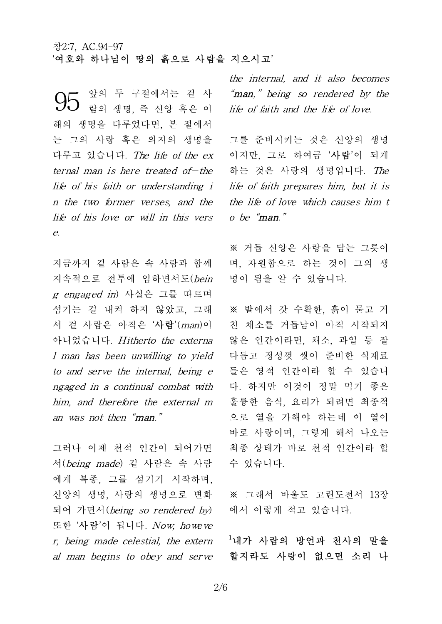앞의 두 구절에서는 겉 사 람의 생명, 즉 신앙 혹은 이 해의 생명을 다루었다면, 본 절에서 는 그의 사랑 혹은 의지의 생명을 다루고 있습니다. The life of the ex ternal man is here treated of—the life of his faith or understanding i n the two former verses, and the life of his love or will in this vers e. 95

지금까지 겉 사람은 속 사람과 함께 지속적으로 전투에 임하면서도(bein g engaged in) 사실은 그를 따르며 섬기는 걸 내켜 하지 않았고, 그래 서 겉 사람은 아직은 '**사람**'(man)이 아니었습니다. Hitherto the externa l man has been unwilling to yield to and serve the internal, being e ngaged in a continual combat with him, and therefore the external m an was not then "man."

그러나 이제 천적 인간이 되어가면 서(being made) 겉 사람은 속 사람 에게 복종, 그를 섬기기 시작하며, 신앙의 생명, 사랑의 생명으로 변화 되어 가면서(being so rendered by) 또한 '사람'이 됩니다. Now, howeve r, being made celestial, the extern al man begins to obey and serve

the internal, and it also becomes "man," being so rendered by the life of faith and the life of love.

그를 준비시키는 것은 신앙의 생명 이지만, 그로 하여금 '사람'이 되게 하는 것은 사랑의 생명입니다. The life of faith prepares him, but it is the life of love which causes him t o be "man."

※ 거듭 신앙은 사랑을 담는 그릇이 며, 자원함으로 하는 것이 그의 생 명이 됨을 알 수 있습니다.

※ 밭에서 갓 수확한, 흙이 묻고 거 친 채소를 거듭남이 아직 시작되지 않은 인간이라면, 채소, 과일 등 잘 다듬고 정성껏 씻어 준비한 식재료 들은 영적 인간이라 할 수 있습니 다. 하지만 이것이 정말 먹기 좋은 훌륭한 음식, 요리가 되려면 최종적 으로 열을 가해야 하는데 이 열이 바로 사랑이며, 그렇게 해서 나오는 최종 상태가 바로 천적 인간이라 할 수 있습니다.

※ 그래서 바울도 고린도전서 13장 에서 이렇게 적고 있습니다.

 $^{-1}$ 내가 사람의 방언과 천사의 말을 할지라도 사랑이 없으면 소리 나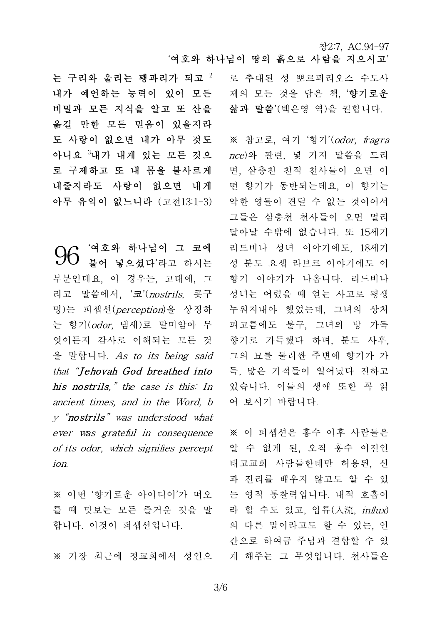로 추대된 성 뽀르피리오스 수도사 제의 모든 것을 담은 책, '**향기로운** 삶과 말씀'(백은영 역)을 권합니다.

※ 참고로, 여기 '향기'(*odor, fragra* nce)와 관련, 몇 가지 말씀을 드리 면, 삼층천 천적 천사들이 오면 어 떤 향기가 동반되는데요, 이 향기는 악한 영들이 견딜 수 없는 것이어서 그들은 삼층천 천사들이 오면 멀리 달아날 수밖에 없습니다. 또 15세기 리드비나 성녀 이야기에도, 18세기 성 분도 요셉 라브르 이야기에도 이 향기 이야기가 나옵니다. 리드비나 성녀는 어렸을 때 얻는 사고로 평생 누워지내야 했었는데, 그녀의 상처 피고름에도 불구, 그녀의 방 가득 향기로 가득했다 하며, 분도 사후, 그의 묘를 둘러싼 주변에 향기가 가 득, 많은 기적들이 일어났다 전하고 있습니다. 이들의 생애 또한 꼭 읽 어 보시기 바랍니다.

※ 이 퍼셉션은 홍수 이후 사람들은 알 수 없게 된, 오직 홍수 이전인 태고교회 사람들한테만 허용된, 선 과 진리를 배우지 않고도 알 수 있 는 영적 통찰력입니다. 내적 호흡이 라 할 수도 있고, 입류(入流, influx) 의 다른 말이라고도 할 수 있는, 인 간으로 하여금 주님과 결합할 수 있 게 해주는 그 무엇입니다. 천사들은

는 구리와 울리는 꽹과리가 되고  $2$ 내가 예언하는 능력이 있어 모든 비밀과 모든 지식을 알고 또 산을 옮길 만한 모든 믿음이 있을지라 도 사랑이 없으면 내가 아무 것도 아니요 <sup>3</sup>내가 내게 있는 모든 것으 로 구제하고 또 내 몸을 불사르게 내줄지라도 사랑이 없으면 내게 아무 유익이 없느니라 (고전13:1-3)

'여호와 하나님이 그 코에 불어 넣으셨다'라고 하시는 부분인데요, 이 경우는, 고대에, 그 리고 말씀에서, '코'(nostrils, 콧구 멍)는 퍼셉션(perception)을 상징하 는 향기(odor, 냄새)로 말미암아 무 피고름에도 엇이든지 감사로 이해되는 모든 것 을 말합니다. As to its being said 명)는 퍼셉선(*perception*)을 상싱하 - 구워<br>는 향기(*odor*, 냄새)로 말미암아 무 - 피고<br>엇이든지 감사로 이해되는 모든 것 - 향기<br>을 말합니다. *As to its being said* - 그의<br>*that "Jehovah God breathed into - 특, his postrils " the case is this! In - 인습* his nostrils," the case is this: In ancient times, and in the Word, b y "nostrils" was understood what ever was grateful in consequence of its odor, which signifies percept ion. 96

※ 어떤 '향기로운 아이디어'가 떠오 를 때 맛보는 모든 즐거운 것을 말 합니다. 이것이 퍼셉션입니다.

※ 가장 최근에 정교회에서 성인으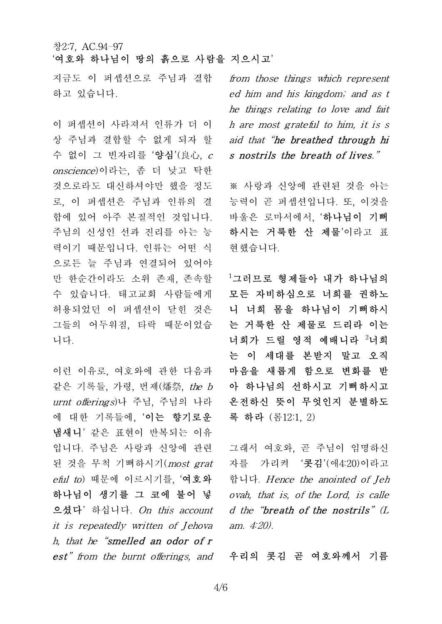지금도 이 퍼셉션으로 주님과 결합 하고 있습니다.

이 퍼셉션이 사라져서 인류가 더 이 상 주님과 결합할 수 없게 되자 할 수 없이 그 빈자리를 '양심'(良心, c onscience)이라는, 좀 더 낮고 탁한 것으로라도 대신하셔야만 했을 정도 로, 이 퍼셉션은 주님과 인류의 결 합에 있어 아주 본질적인 것입니다. 주님의 신성인 선과 진리를 아는 능 력이기 때문입니다. 인류는 어떤 식 으로든 늘 주님과 연결되어 있어야 만 한순간이라도 소위 존재, 존속할 수 있습니다. 태고교회 사람들에게 허용되었던 이 퍼셉션이 닫힌 것은 그들의 어두워짐, 타락 때문이었습 니다.

이런 이유로, 여호와에 관한 다음과 같은 기록들, 가령, 번제(燔祭, the b urnt offerings)나 주님, 주님의 나라 에 대한 기록들에, '이는 향기로운 냄새니' 같은 표현이 반복되는 이유 입니다. 주님은 사랑과 신앙에 관련 된 것을 무척 기뻐하시기(most grat eful to) 때문에 이르시기를, '여호와 하나님이 생기를 그 코에 불어 넣 으셨다' 하십니다. On this account it is repeatedly written of Jehova h, that he "smelled an odor of r est" from the burnt offerings, and 우리의 콧김 곧 여호와께서 기름

from those things which represent ed him and his kingdom; and as t he things relating to love and fait h are most grateful to him, it is s aid that "he breathed through hi s nostrils the breath of lives."

※ 사랑과 신앙에 관련된 것을 아는 능력이 곧 퍼셉션입니다. 또, 이것을 바울은 로마서에서, '하나님이 기뻐 하시는 거룩한 산 제물'이라고 표 현했습니다.

 $^{-1}$ 그러므로 형제들아 내가 하나님의 모든 자비하심으로 너희를 권하노 니 너희 몸을 하나님이 기뻐하시 는 거룩한 산 제물로 드리라 이는 너희가 드릴 영적 예배니라 2너희 는 이 세대를 본받지 말고 오직 마음을 새롭게 함으로 변화를 받 아 하나님의 선하시고 기뻐하시고 온전하신 뜻이 무엇인지 분별하도 록 하라 (롬12:1, 2)

그래서 여호와, 곧 주님이 임명하신 자를 가리켜 '콧김'(애4:20)이라고 합니다. Hence the anointed of Jeh ovah, that is, of the Lord, is calle d the "breath of the nostrils"  $(L)$ am. 4:20).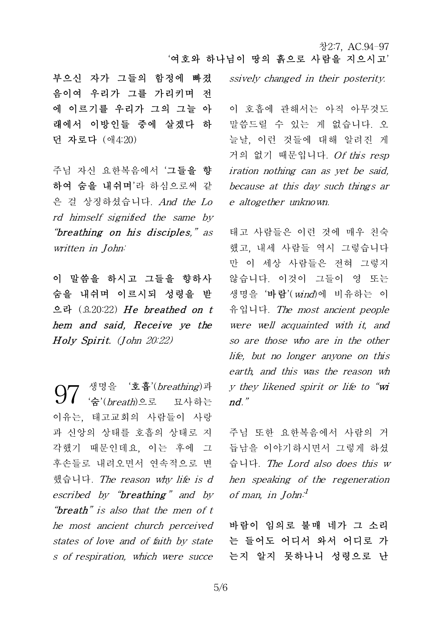부으신 자가 그들의 함정에 빠졌 음이여 우리가 그를 가리키며 전 에 이르기를 우리가 그의 그늘 아 래에서 이방인들 중에 살겠다 하 던 자로다 (애4:20)

주님 자신 요한복음에서 '그들을 향 하여 숨을 내쉬며'라 하심으로써 같 은 걸 상징하셨습니다. And the Lo rd himself signified the same by "breathing on his disciples," as written in John:

이 말씀을 하시고 그들을 향하사 않습니다. ㅇ 숨을 내쉬며 이르시되 성령을 받 으라 (요20:22) <sup>H</sup> <sup>e</sup> breathed on <sup>t</sup> hem and said, Receive ye the wer 이 발씀을 하시고 그들을 양<sup>ㅎ</sup><br>숨을 내쉬며 이르시되 성령을<br>으라 (요20:22) *He breathed o.*<br>hem and said, Receive ye<br>Holy Spirit. (John 20:22)

생명을 '호흡'(*breathing*)과 '숨'(breath)으로 묘사하는 이유는, 태고교회의 사람들이 사랑 과 신앙의 상태를 호흡의 상태로 지 각했기 때문인데요, 이는 후에 그 후손들로 내려오면서 연속적으로 변 했습니다. The reason why life is d escribed by " $breathing$ " and by "breath" is also that the men of t he most ancient church perceived states of love and of faith by state s of respiration, which were succe 97

ssively changed in their posterity.

이 호흡에 관해서는 아직 아무것도 말씀드릴 수 있는 게 없습니다. 오 늘날, 이런 것들에 대해 알려진 게 거의 없기 때문입니다. Of this resp iration nothing can as yet be said, because at this day such things ar e altogether unknown.

태고 사람들은 이런 것에 매우 친숙 했고, 내세 사람들 역시 그렇습니다 만 이 세상 사람들은 전혀 그렇지 않습니다. 이것이 그들이 영 또는 생명을 '바람'(wind)에 비유하는 이 유입니다. The most ancient people were well acquainted with it, and so are those who are in the other life, but no longer anyone on this earth, and this was the reason wh y they likened spirit or life to "wi nd."

주님 또한 요한복음에서 사람의 거 듭남을 이야기하시면서 그렇게 하셨 습니다. The Lord also does this w hen speaking of the regeneration of man, in John:<sup>1</sup>

바람이 임의로 불매 네가 그 소리 는 들어도 어디서 와서 어디로 가 는지 알지 못하나니 성령으로 난